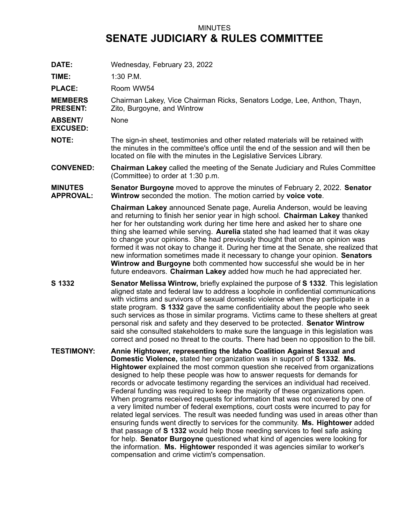## MINUTES **SENATE JUDICIARY & RULES COMMITTEE**

**DATE:** Wednesday, February 23, 2022

**TIME:** 1:30 P.M.

PLACE: Room WW54

**MEMBERS PRESENT:** Chairman Lakey, Vice Chairman Ricks, Senators Lodge, Lee, Anthon, Thayn, Zito, Burgoyne, and Wintrow

**ABSENT/** None

- **EXCUSED:**
- **NOTE:** The sign-in sheet, testimonies and other related materials will be retained with the minutes in the committee's office until the end of the session and will then be located on file with the minutes in the Legislative Services Library.
- **CONVENED: Chairman Lakey** called the meeting of the Senate Judiciary and Rules Committee (Committee) to order at 1:30 p.m.
- **MINUTES APPROVAL: Senator Burgoyne** moved to approve the minutes of February 2, 2022. **Senator Wintrow** seconded the motion. The motion carried by **voice vote**.

**Chairman Lakey** announced Senate page, Aurelia Anderson, would be leaving and returning to finish her senior year in high school. **Chairman Lakey** thanked her for her outstanding work during her time here and asked her to share one thing she learned while serving. **Aurelia** stated she had learned that it was okay to change your opinions. She had previously thought that once an opinion was formed it was not okay to change it. During her time at the Senate, she realized that new information sometimes made it necessary to change your opinion. **Senators Wintrow and Burgoyne** both commented how successful she would be in her future endeavors. **Chairman Lakey** added how much he had appreciated her.

- **S 1332 Senator Melissa Wintrow,** briefly explained the purpose of **S 1332**. This legislation aligned state and federal law to address <sup>a</sup> loophole in confidential communications with victims and survivors of sexual domestic violence when they participate in <sup>a</sup> state program. **S 1332** gave the same confidentiality about the people who seek such services as those in similar programs. Victims came to these shelters at great personal risk and safety and they deserved to be protected. **Senator Wintrow** said she consulted stakeholders to make sure the language in this legislation was correct and posed no threat to the courts. There had been no opposition to the bill.
- **TESTIMONY: Annie Hightower, representing the Idaho Coalition Against Sexual and Domestic Violence,** stated her organization was in support of **S 1332**. **Ms. Hightower** explained the most common question she received from organizations designed to help these people was how to answer requests for demands for records or advocate testimony regarding the services an individual had received. Federal funding was required to keep the majority of these organizations open. When programs received requests for information that was not covered by one of <sup>a</sup> very limited number of federal exemptions, court costs were incurred to pay for related legal services. The result was needed funding was used in areas other than ensuring funds went directly to services for the community. **Ms. Hightower** added that passage of **S 1332** would help those needing services to feel safe asking for help. **Senator Burgoyne** questioned what kind of agencies were looking for the information. **Ms. Hightower** responded it was agencies similar to worker's compensation and crime victim's compensation.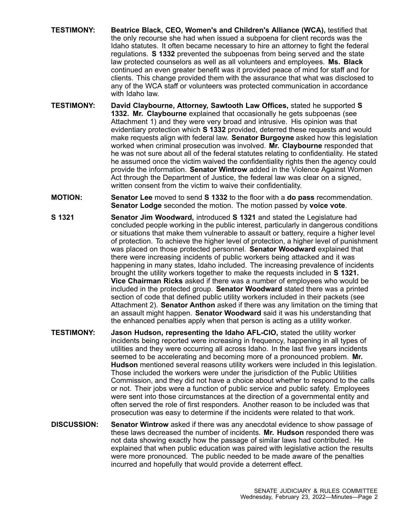- **TESTIMONY: Beatrice Black, CEO, Women's and Children's Alliance (WCA),** testified that the only recourse she had when issued <sup>a</sup> subpoena for client records was the Idaho statutes. It often became necessary to hire an attorney to fight the federal regulations. **S 1332** prevented the subpoenas from being served and the state law protected counselors as well as all volunteers and employees. **Ms. Black** continued an even greater benefit was it provided peace of mind for staff and for clients. This change provided them with the assurance that what was disclosed to any of the WCA staff or volunteers was protected communication in accordance with Idaho law.
- **TESTIMONY: David Claybourne, Attorney, Sawtooth Law Offices,** stated he supported **S 1332. Mr. Claybourne** explained that occasionally he gets subpoenas (see Attachment 1) and they were very broad and intrusive. His opinion was that evidentiary protection which **S 1332** provided, deterred these requests and would make requests align with federal law. **Senator Burgoyne** asked how this legislation worked when criminal prosecution was involved. **Mr. Claybourne** responded that he was not sure about all of the federal statutes relating to confidentiality. He stated he assumed once the victim waived the confidentiality rights then the agency could provide the information. **Senator Wintrow** added in the Violence Against Women Act through the Department of Justice, the federal law was clear on <sup>a</sup> signed, written consent from the victim to waive their confidentiality.
- **MOTION: Senator Lee** moved to send **S 1332** to the floor with <sup>a</sup> **do pass** recommendation. **Senator Lodge** seconded the motion. The motion passed by **voice vote**.
- **S 1321 Senator Jim Woodward,** introduced **S 1321** and stated the Legislature had concluded people working in the public interest, particularly in dangerous conditions or situations that make them vulnerable to assault or battery, require <sup>a</sup> higher level of protection. To achieve the higher level of protection, <sup>a</sup> higher level of punishment was placed on those protected personnel. **Senator Woodward** explained that there were increasing incidents of public workers being attacked and it was happening in many states, Idaho included. The increasing prevalence of incidents brought the utility workers together to make the requests included in **S 1321. Vice Chairman Ricks** asked if there was <sup>a</sup> number of employees who would be included in the protected group. **Senator Woodward** stated there was <sup>a</sup> printed section of code that defined public utility workers included in their packets (see Attachment 2). **Senator Anthon** asked if there was any limitation on the timing that an assault might happen. **Senator Woodward** said it was his understanding that the enhanced penalties apply when that person is acting as <sup>a</sup> utility worker.
- **TESTIMONY: Jason Hudson, representing the Idaho AFL-CIO,** stated the utility worker incidents being reported were increasing in frequency, happening in all types of utilities and they were occurring all across Idaho. In the last five years incidents seemed to be accelerating and becoming more of <sup>a</sup> pronounced problem. **Mr. Hudson** mentioned several reasons utility workers were included in this legislation. Those included the workers were under the jurisdiction of the Public Utilities Commission, and they did not have <sup>a</sup> choice about whether to respond to the calls or not. Their jobs were <sup>a</sup> function of public service and public safety. Employees were sent into those circumstances at the direction of <sup>a</sup> governmental entity and often served the role of first responders. Another reason to be included was that prosecution was easy to determine if the incidents were related to that work.
- **DISCUSSION: Senator Wintrow** asked if there was any anecdotal evidence to show passage of these laws decreased the number of incidents. **Mr. Hudson** responded there was not data showing exactly how the passage of similar laws had contributed. He explained that when public education was paired with legislative action the results were more pronounced. The public needed to be made aware of the penalties incurred and hopefully that would provide <sup>a</sup> deterrent effect.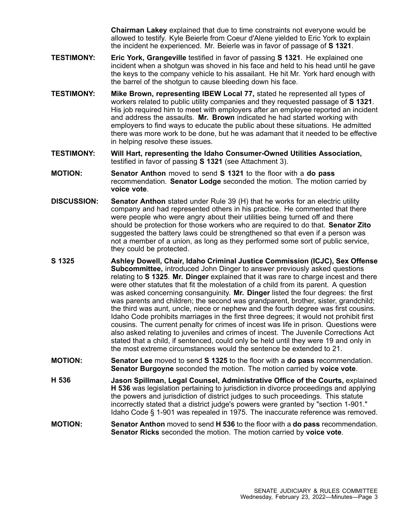**Chairman Lakey** explained that due to time constraints not everyone would be allowed to testify. Kyle Beierle from Coeur d'Alene yielded to Eric York to explain the incident he experienced. Mr. Beierle was in favor of passage of **S 1321**.

- **TESTIMONY: Eric York, Grangeville** testified in favor of passing **S 1321**. He explained one incident when <sup>a</sup> shotgun was shoved in his face and held to his head until he gave the keys to the company vehicle to his assailant. He hit Mr. York hard enough with the barrel of the shotgun to cause bleeding down his face.
- **TESTIMONY: Mike Brown, representing IBEW Local 77,** stated he represented all types of workers related to public utility companies and they requested passage of **S 1321**. His job required him to meet with employers after an employee reported an incident and address the assaults. **Mr. Brown** indicated he had started working with employers to find ways to educate the public about these situations. He admitted there was more work to be done, but he was adamant that it needed to be effective in helping resolve these issues.
- **TESTIMONY: Will Hart, representing the Idaho Consumer-Owned Utilities Association,** testified in favor of passing **S 1321** (see Attachment 3).
- **MOTION: Senator Anthon** moved to send **S 1321** to the floor with <sup>a</sup> **do pass** recommendation. **Senator Lodge** seconded the motion. The motion carried by **voice vote**.
- **DISCUSSION: Senator Anthon** stated under Rule 39 (H) that he works for an electric utility company and had represented others in his practice. He commented that there were people who were angry about their utilities being turned off and there should be protection for those workers who are required to do that. **Senator Zito** suggested the battery laws could be strengthened so that even if <sup>a</sup> person was not <sup>a</sup> member of <sup>a</sup> union, as long as they performed some sort of public service, they could be protected.
- **S 1325 Ashley Dowell, Chair, Idaho Criminal Justice Commission (ICJC), Sex Offense Subcommittee,** introduced John Dinger to answer previously asked questions relating to **S 1325**. **Mr. Dinger** explained that it was rare to charge incest and there were other statutes that fit the molestation of <sup>a</sup> child from its parent. A question was asked concerning consanguinity. **Mr. Dinger** listed the four degrees: the first was parents and children; the second was grandparent, brother, sister, grandchild; the third was aunt, uncle, niece or nephew and the fourth degree was first cousins. Idaho Code prohibits marriages in the first three degrees; it would not prohibit first cousins. The current penalty for crimes of incest was life in prison. Questions were also asked relating to juveniles and crimes of incest. The Juvenile Corrections Act stated that <sup>a</sup> child, if sentenced, could only be held until they were 19 and only in the most extreme circumstances would the sentence be extended to 21.
- **MOTION: Senator Lee** moved to send **S 1325** to the floor with <sup>a</sup> **do pass** recommendation. **Senator Burgoyne** seconded the motion. The motion carried by **voice vote**.
- **H 536 Jason Spillman, Legal Counsel, Administrative Office of the Courts,** explained **H 536** was legislation pertaining to jurisdiction in divorce proceedings and applying the powers and jurisdiction of district judges to such proceedings. This statute incorrectly stated that <sup>a</sup> district judge's powers were granted by "section 1-901." Idaho Code § 1-901 was repealed in 1975. The inaccurate reference was removed.
- **MOTION: Senator Anthon** moved to send **H 536** to the floor with <sup>a</sup> **do pass** recommendation. **Senator Ricks** seconded the motion. The motion carried by **voice vote**.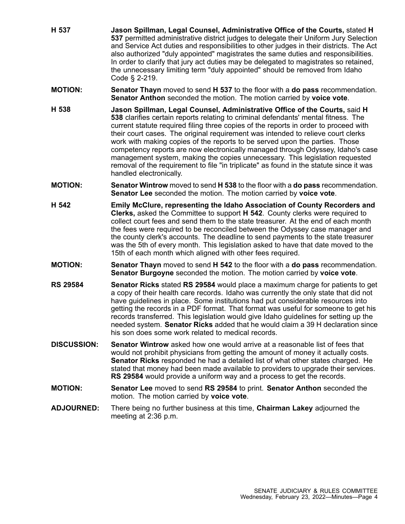- 
- **H 537 Jason Spillman, Legal Counsel, Administrative Office of the Courts,** stated **H 537** permitted administrative district judges to delegate their Uniform Jury Selection and Service Act duties and responsibilities to other judges in their districts. The Act also authorized "duly appointed" magistrates the same duties and responsibilities. In order to clarify that jury act duties may be delegated to magistrates so retained, the unnecessary limiting term "duly appointed" should be removed from Idaho Code § 2-219.
	- **MOTION: Senator Thayn** moved to send **H 537** to the floor with <sup>a</sup> **do pass** recommendation. **Senator Anthon** seconded the motion. The motion carried by **voice vote**.
	- **H 538 Jason Spillman, Legal Counsel, Administrative Office of the Courts,** said **H 538** clarifies certain reports relating to criminal defendants' mental fitness. The current statute required filing three copies of the reports in order to proceed with their court cases. The original requirement was intended to relieve court clerks work with making copies of the reports to be served upon the parties. Those competency reports are now electronically managed through Odyssey, Idaho's case management system, making the copies unnecessary. This legislation requested removal of the requirement to file "in triplicate" as found in the statute since it was handled electronically.
	- **MOTION: Senator Wintrow** moved to send **H 538** to the floor with <sup>a</sup> **do pass** recommendation. **Senator Lee** seconded the motion. The motion carried by **voice vote**.
	- **H 542 Emily McClure, representing the Idaho Association of County Recorders and Clerks,** asked the Committee to support **H 542**. County clerks were required to collect court fees and send them to the state treasurer. At the end of each month the fees were required to be reconciled between the Odyssey case manager and the county clerk's accounts. The deadline to send payments to the state treasurer was the 5th of every month. This legislation asked to have that date moved to the 15th of each month which aligned with other fees required.
	- **MOTION: Senator Thayn** moved to send **H 542** to the floor with <sup>a</sup> **do pass** recommendation. **Senator Burgoyne** seconded the motion. The motion carried by **voice vote**.
	- **RS 29584 Senator Ricks** stated **RS 29584** would place <sup>a</sup> maximum charge for patients to get <sup>a</sup> copy of their health care records. Idaho was currently the only state that did not have guidelines in place. Some institutions had put considerable resources into getting the records in <sup>a</sup> PDF format. That format was useful for someone to get his records transferred. This legislation would give Idaho guidelines for setting up the needed system. **Senator Ricks** added that he would claim <sup>a</sup> 39 H declaration since his son does some work related to medical records.
	- **DISCUSSION: Senator Wintrow** asked how one would arrive at a reasonable list of fees that would not prohibit physicians from getting the amount of money it actually costs. **Senator Ricks** responded he had <sup>a</sup> detailed list of what other states charged. He stated that money had been made available to providers to upgrade their services. **RS 29584** would provide <sup>a</sup> uniform way and <sup>a</sup> process to get the records.
	- **MOTION: Senator Lee** moved to send **RS 29584** to print. **Senator Anthon** seconded the motion. The motion carried by **voice vote**.
	- **ADJOURNED:** There being no further business at this time, **Chairman Lakey** adjourned the meeting at 2:36 p.m.